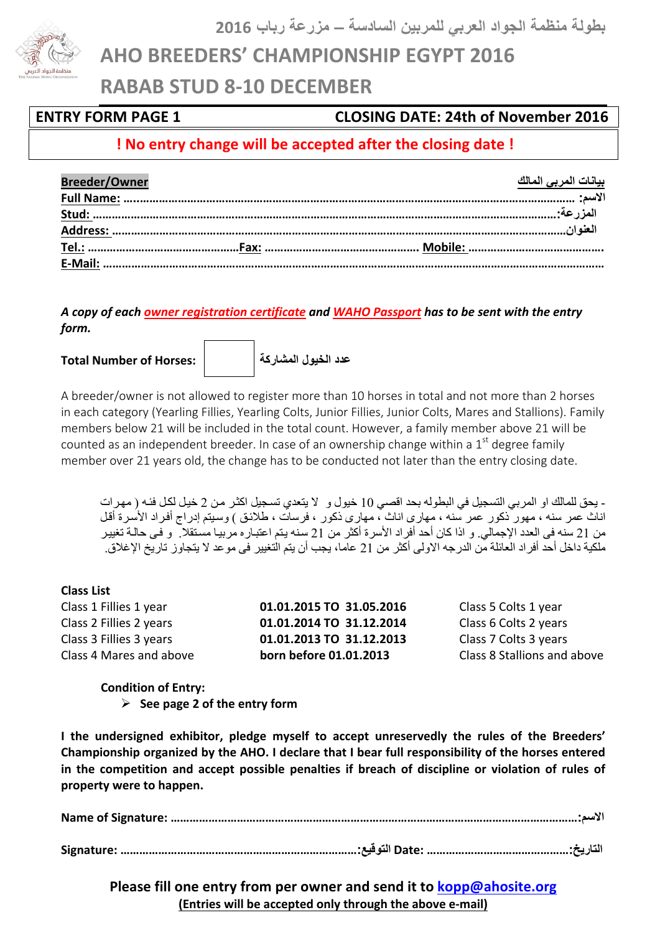**بطولة منظمة الجواد العربي للمربین السادسة – مزرعة رباب 2016**

**AHO BREEDERS' CHAMPIONSHIP EGYPT 2016** 

**RABAB STUD 8-10 DECEMBER**

### **ENTRY FORM PAGE 1 1988 CLOSING DATE: 24th of November 2016**

## **!** No entry change will be accepted after the closing date!

| <b>Breeder/Owner</b> | <u>بيانات المربى المالك</u> |
|----------------------|-----------------------------|
|                      |                             |
|                      |                             |
|                      |                             |
|                      |                             |
|                      |                             |

A copy of each owner registration certificate and WAHO Passport has to be sent with the entry *form.*

**Total Number of Horses: المشاركة الخیول عدد**



A breeder/owner is not allowed to register more than 10 horses in total and not more than 2 horses in each category (Yearling Fillies, Yearling Colts, Junior Fillies, Junior Colts, Mares and Stallions). Family members below 21 will be included in the total count. However, a family member above 21 will be counted as an independent breeder. In case of an ownership change within a  $1<sup>st</sup>$  degree family member over 21 years old, the change has to be conducted not later than the entry closing date.

- یحق للمالك او المربي التسجیل في البطوله بحد اقصي 10 خیول و لا یتعدي تسجیل اكثر من 2 خیل لكل فئه ( مهرات اناث عمر سنه ، مهور ذكور عمر سنه ، مهارى اناث ، مهارى ذكور ، فرسات ، طلائق ) وسيتم إدراج أفراد الأسرة أقل من 21 سنه فى العدد الإجمالي. و اذا كان أحد أفراد الأسرة أكثر من 21 سنه يتم اعتباره مربيا مستقلا. و فـى حالـة تغيير ملكیة داخل أحد أفراد العائلة من الدرجھ الاولى أكثر من 21 عاما، یجب أن یتم التغییر فى موعد لا یتجاوز تاریخ الإغلاق.

#### **Class List**

**01.01.2015 TO 31.05.2016** Class 5 Colts 1 year **01.01.2014 TO 31.12.2014** Class 6 Colts 2 years **01.01.2013 TO 31.12.2013** Class 7 Colts 3 years **born before 01.01.2013** Class 8 Stallions and above

**Condition of Entry:**

 $\triangleright$  See page 2 of the entry form

**I** the undersigned exhibitor, pledge myself to accept unreservedly the rules of the Breeders' Championship organized by the AHO. I declare that I bear full responsibility of the horses entered in the competition and accept possible penalties if breach of discipline or violation of rules of property were to happen.

**Please fill one entry from per owner and send it to kopp@ahosite.org (Entries will be accepted only through the above e-mail)** 

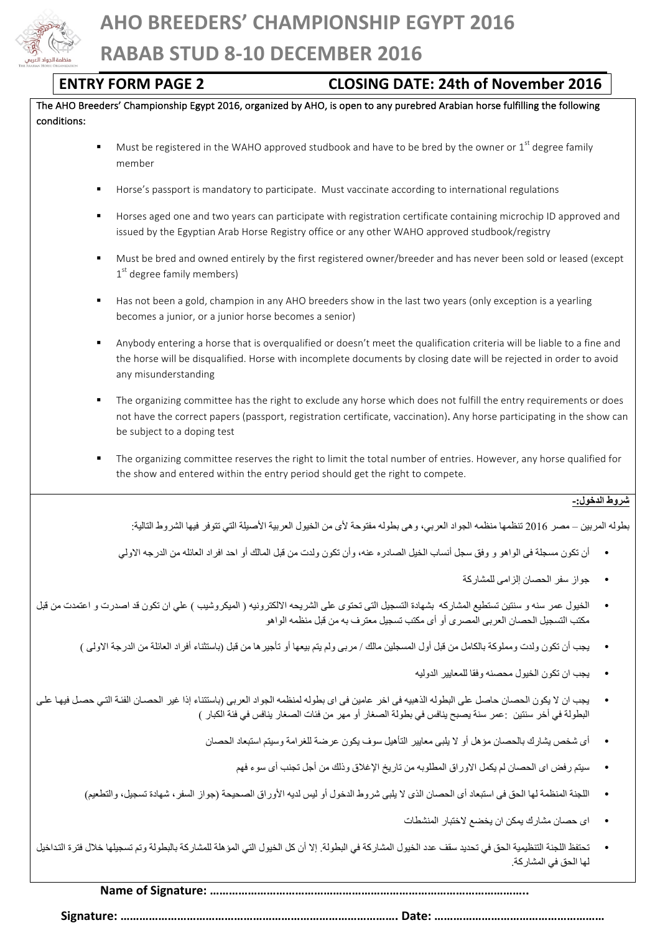

| <b>ENTRY FORM PAGE 2</b>                                                                        | <b>CLOSING DATE: 24th of November 2016</b>                                                                                                                                                                                                   |  |
|-------------------------------------------------------------------------------------------------|----------------------------------------------------------------------------------------------------------------------------------------------------------------------------------------------------------------------------------------------|--|
| conditions:                                                                                     | The AHO Breeders' Championship Egypt 2016, organized by AHO, is open to any purebred Arabian horse fulfilling the following                                                                                                                  |  |
| member                                                                                          | Must be registered in the WAHO approved studbook and have to be bred by the owner or $1st$ degree family                                                                                                                                     |  |
| ٠                                                                                               | Horse's passport is mandatory to participate. Must vaccinate according to international regulations                                                                                                                                          |  |
| ٠                                                                                               | Horses aged one and two years can participate with registration certificate containing microchip ID approved and<br>issued by the Egyptian Arab Horse Registry office or any other WAHO approved studbook/registry                           |  |
| ٠<br>1 <sup>st</sup> degree family members)                                                     | Must be bred and owned entirely by the first registered owner/breeder and has never been sold or leased (except                                                                                                                              |  |
| ٠<br>becomes a junior, or a junior horse becomes a senior)                                      | Has not been a gold, champion in any AHO breeders show in the last two years (only exception is a yearling                                                                                                                                   |  |
| ٠<br>any misunderstanding                                                                       | Anybody entering a horse that is overqualified or doesn't meet the qualification criteria will be liable to a fine and<br>the horse will be disqualified. Horse with incomplete documents by closing date will be rejected in order to avoid |  |
| ٠<br>be subject to a doping test                                                                | The organizing committee has the right to exclude any horse which does not fulfill the entry requirements or does<br>not have the correct papers (passport, registration certificate, vaccination). Any horse participating in the show can  |  |
| $\blacksquare$<br>the show and entered within the entry period should get the right to compete. | The organizing committee reserves the right to limit the total number of entries. However, any horse qualified for                                                                                                                           |  |
|                                                                                                 | شروط الدخول:-                                                                                                                                                                                                                                |  |
|                                                                                                 | بطوله المربين – مصر 2016 تنظمها منظمه الجواد العربي، و هي بطوله مفتوحة لأي من الخيول العربية الأصيلة التي تتوفر فيها الشروط التالية:                                                                                                         |  |
|                                                                                                 | أن تكون مسجلة في الواهو و وفق سجل أنساب الخيل الصادره عنه، وأن تكون ولدت من قبل المالك أو احد افراد العائله من الدرجه الاولى                                                                                                                 |  |
|                                                                                                 | جواز سفر الحصان إلزامي للمشاركة                                                                                                                                                                                                              |  |
|                                                                                                 | الخيول عمر سنه و سنتين تستطيع المشاركه بشهادة التسجيل التي تحتوي على الشريحه الالكترونيه ( الميكروشيب ) علي ان تكون قد اصدرت و اعتمدت من قبل<br>مكتب التسجيل الحصـان العربي المصـري أو أي مكتب تسجيل معترف به من قبل منظمه الواه             |  |
|                                                                                                 | يجب أن تكون ولدت ومملوكة بالكامل من قبل أول المسجلين مالك / مربى ولم يتم بيعها أو تأجير ها من قبل (باستثناء أفراد العائلة من الدرجة الاولى )                                                                                                 |  |
|                                                                                                 | يجب ان تكون الخيول محصنه وفقا للمعايير الدوليه                                                                                                                                                                                               |  |
|                                                                                                 | يجب ان لا يكون الحصان حاصل على البطوله الذهبيه في اخر عامين في اي بطوله لمنظمه الجواد العربي (باستتناء إذا غير الحصـان الفئـة التي حصـل فيهـا علـي<br>البطولة في أخر سنتين  :عمر سنة يصبح ينافس في بطولة الصغار أو مهر من فئات ا             |  |
|                                                                                                 | أي شخص يشارك بالحصان مؤهل أو لا يلبي معايير التأهيل سوف يكون عرضة للغرامة وسيتم استبعاد الحصان                                                                                                                                               |  |
|                                                                                                 | سيتم رفض اي الحصان لم يكمل الاوراق المطلوبه من تاريخ الإغلاق وذلك من أجل تجنب أي سوء فهم                                                                                                                                                     |  |
|                                                                                                 | اللجنة المنظمة لها الحق في استبعاد أي الحصان الذي لا يلبي شروط الدخول أو ليس لديه الأوراق الصحيحة (جواز السفر، شهادة تسجيل، والتطعيم)                                                                                                        |  |
|                                                                                                 | اى حصان مشارك يمكن ان يخضع لاختبار المنشطات                                                                                                                                                                                                  |  |
|                                                                                                 | تحتفظ اللجنة التنظيمية الحق في تحديد سقف عدد الخيول المشاركة في البطولة. إلا أن كل الخيول التي المؤهلة للمشاركة بالبطولة وتم تسجيلها خلال فترة التداخيل<br>لها الحق في المشاركة.                                                             |  |

**Name of Signature: ………………………………………………………………………………………..**

**Signature: ……………………………………………………………………………. Date: ………………………………………………**